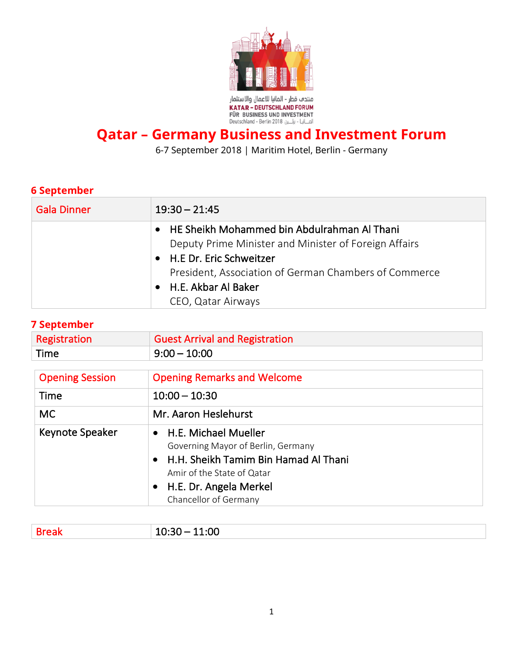

## **Qatar – Germany Business and Investment Forum**

6-7 September 2018 | Maritim Hotel, Berlin - Germany

## **6 September**

| <b>Gala Dinner</b> | $19:30 - 21:45$                                                                                                                                                                                                                             |
|--------------------|---------------------------------------------------------------------------------------------------------------------------------------------------------------------------------------------------------------------------------------------|
|                    | • HE Sheikh Mohammed bin Abdulrahman Al Thani<br>Deputy Prime Minister and Minister of Foreign Affairs<br>• H.E Dr. Eric Schweitzer<br>President, Association of German Chambers of Commerce<br>• H.E. Akbar Al Baker<br>CEO, Qatar Airways |

## **7 September**

| <b>PERCHINGL</b>       |                                                                                                                                                                                                                            |
|------------------------|----------------------------------------------------------------------------------------------------------------------------------------------------------------------------------------------------------------------------|
| Registration           | <b>Guest Arrival and Registration</b>                                                                                                                                                                                      |
| Time                   | $9:00 - 10:00$                                                                                                                                                                                                             |
| <b>Opening Session</b> | <b>Opening Remarks and Welcome</b>                                                                                                                                                                                         |
| Time                   | $10:00 - 10:30$                                                                                                                                                                                                            |
| <b>MC</b>              | Mr. Aaron Heslehurst                                                                                                                                                                                                       |
| <b>Keynote Speaker</b> | H.E. Michael Mueller<br>$\bullet$<br>Governing Mayor of Berlin, Germany<br>H.H. Sheikh Tamim Bin Hamad Al Thani<br>$\bullet$<br>Amir of the State of Qatar<br>H.E. Dr. Angela Merkel<br>$\bullet$<br>Chancellor of Germany |

|--|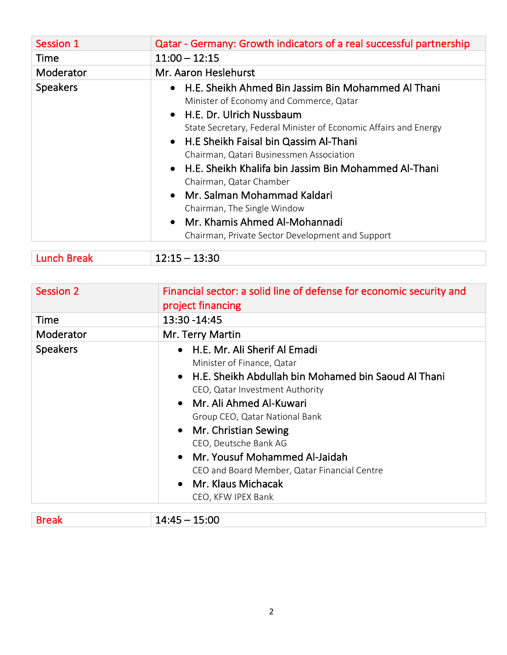| Qatar - Germany: Growth indicators of a real successful partnership                                                                                                                                                                                                                                                                                                                                                                                                                                                                  |
|--------------------------------------------------------------------------------------------------------------------------------------------------------------------------------------------------------------------------------------------------------------------------------------------------------------------------------------------------------------------------------------------------------------------------------------------------------------------------------------------------------------------------------------|
| $11:00 - 12:15$                                                                                                                                                                                                                                                                                                                                                                                                                                                                                                                      |
| Mr. Aaron Heslehurst                                                                                                                                                                                                                                                                                                                                                                                                                                                                                                                 |
| • H.E. Sheikh Ahmed Bin Jassim Bin Mohammed Al Thani<br>Minister of Economy and Commerce, Qatar<br>• H.E. Dr. Ulrich Nussbaum<br>State Secretary, Federal Minister of Economic Affairs and Energy<br>• H.E Sheikh Faisal bin Qassim Al-Thani<br>Chairman, Qatari Businessmen Association<br>• H.E. Sheikh Khalifa bin Jassim Bin Mohammed Al-Thani<br>Chairman, Qatar Chamber<br>• Mr. Salman Mohammad Kaldari<br>Chairman, The Single Window<br>• Mr. Khamis Ahmed Al-Mohannadi<br>Chairman, Private Sector Development and Support |
|                                                                                                                                                                                                                                                                                                                                                                                                                                                                                                                                      |

| <b>Lunch Break</b> | $12:15 - 13:30$ |
|--------------------|-----------------|
|                    |                 |

| <b>Session 2</b> | Financial sector: a solid line of defense for economic security and<br>project financing                                                                                                                                                                                                                                                                                                                                                     |
|------------------|----------------------------------------------------------------------------------------------------------------------------------------------------------------------------------------------------------------------------------------------------------------------------------------------------------------------------------------------------------------------------------------------------------------------------------------------|
| Time             | 13:30 - 14:45                                                                                                                                                                                                                                                                                                                                                                                                                                |
| Moderator        | Mr. Terry Martin                                                                                                                                                                                                                                                                                                                                                                                                                             |
| <b>Speakers</b>  | • H.E. Mr. Ali Sherif Al Emadi<br>Minister of Finance, Qatar<br>• H.E. Sheikh Abdullah bin Mohamed bin Saoud Al Thani<br>CEO, Qatar Investment Authority<br>• Mr. Ali Ahmed Al-Kuwari<br>Group CEO, Qatar National Bank<br>Mr. Christian Sewing<br>$\bullet$<br>CEO, Deutsche Bank AG<br>Mr. Yousuf Mohammed Al-Jaidah<br>$\bullet$<br>CEO and Board Member, Qatar Financial Centre<br>Mr. Klaus Michacak<br>$\bullet$<br>CEO, KFW IPEX Bank |

| $\sim$ $\sim$ $\sim$<br>- 4<br>. .<br>ni e<br>----<br>____ |  |
|------------------------------------------------------------|--|
|------------------------------------------------------------|--|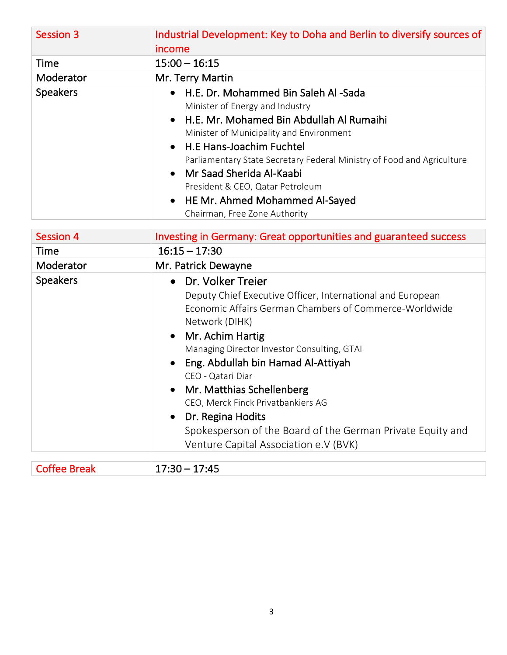| <b>Session 3</b> | Industrial Development: Key to Doha and Berlin to diversify sources of<br>income |
|------------------|----------------------------------------------------------------------------------|
| Time             | $15:00 - 16:15$                                                                  |
| Moderator        | Mr. Terry Martin                                                                 |
| <b>Speakers</b>  | H.E. Dr. Mohammed Bin Saleh Al-Sada<br>$\bullet$                                 |
|                  | Minister of Energy and Industry                                                  |
|                  | • H.E. Mr. Mohamed Bin Abdullah Al Rumaihi                                       |
|                  | Minister of Municipality and Environment                                         |
|                  | • H.E Hans-Joachim Fuchtel                                                       |
|                  | Parliamentary State Secretary Federal Ministry of Food and Agriculture           |
|                  | • Mr Saad Sherida Al-Kaabi                                                       |
|                  | President & CEO, Qatar Petroleum                                                 |
|                  | • HE Mr. Ahmed Mohammed Al-Sayed                                                 |
|                  | Chairman, Free Zone Authority                                                    |

| <b>Session 4</b> | Investing in Germany: Great opportunities and guaranteed success                                                                                                                                                                                                                                                                                                                                                                                                                                   |
|------------------|----------------------------------------------------------------------------------------------------------------------------------------------------------------------------------------------------------------------------------------------------------------------------------------------------------------------------------------------------------------------------------------------------------------------------------------------------------------------------------------------------|
| Time             | $16:15 - 17:30$                                                                                                                                                                                                                                                                                                                                                                                                                                                                                    |
| Moderator        | Mr. Patrick Dewayne                                                                                                                                                                                                                                                                                                                                                                                                                                                                                |
| <b>Speakers</b>  | • Dr. Volker Treier<br>Deputy Chief Executive Officer, International and European<br>Economic Affairs German Chambers of Commerce-Worldwide<br>Network (DIHK)<br>• Mr. Achim Hartig<br>Managing Director Investor Consulting, GTAI<br>• Eng. Abdullah bin Hamad Al-Attiyah<br>CEO - Qatari Diar<br>• Mr. Matthias Schellenberg<br>CEO, Merck Finck Privatbankiers AG<br>• Dr. Regina Hodits<br>Spokesperson of the Board of the German Private Equity and<br>Venture Capital Association e.V (BVK) |

| . | $\mathcal{A}$ $\mathcal{A}$ $\mathcal{A}$ $\mathcal{A}$ $\mathcal{A}$ $\mathcal{A}$ $\mathcal{A}$ $\mathcal{A}$ $\mathcal{A}$ $\mathcal{A}$ $\mathcal{A}$ $\mathcal{A}$ $\mathcal{A}$ $\mathcal{A}$ $\mathcal{A}$ $\mathcal{A}$ $\mathcal{A}$ $\mathcal{A}$ $\mathcal{A}$ $\mathcal{A}$ $\mathcal{A}$ $\mathcal{A}$ $\mathcal{A}$ $\mathcal{A}$ $\mathcal{$<br>$\overline{\phantom{a}}$<br>¬<br>- -<br>་<br>.<br>_______ |
|---|--------------------------------------------------------------------------------------------------------------------------------------------------------------------------------------------------------------------------------------------------------------------------------------------------------------------------------------------------------------------------------------------------------------------------|
|   |                                                                                                                                                                                                                                                                                                                                                                                                                          |